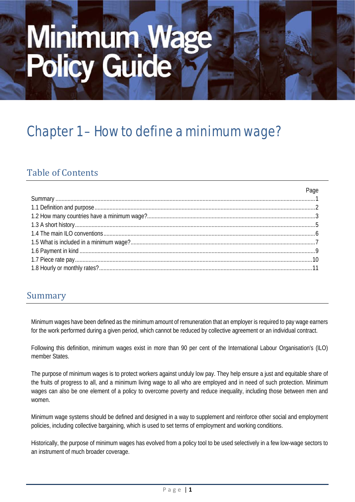# Minimum Wage<br>Policy Guide

# Chapter 1 – How to define a minimum wage?

# Table of Contents

# Summary

Minimum wages have been defined as the minimum amount of remuneration that an employer is required to pay wage earners for the work performed during a given period, which cannot be reduced by collective agreement or an individual contract.

Following this definition, minimum wages exist in more than 90 per cent of the International Labour Organisation's (ILO) member States.

The purpose of minimum wages is to protect workers against unduly low pay. They help ensure a just and equitable share of the fruits of progress to all, and a minimum living wage to all who are employed and in need of such protection. Minimum wages can also be one element of a policy to overcome poverty and reduce inequality, including those between men and women.

Minimum wage systems should be defined and designed in a way to supplement and reinforce other social and employment policies, including collective bargaining, which is used to set terms of employment and working conditions.

Historically, the purpose of minimum wages has evolved from a policy tool to be used selectively in a few low-wage sectors to an instrument of much broader coverage.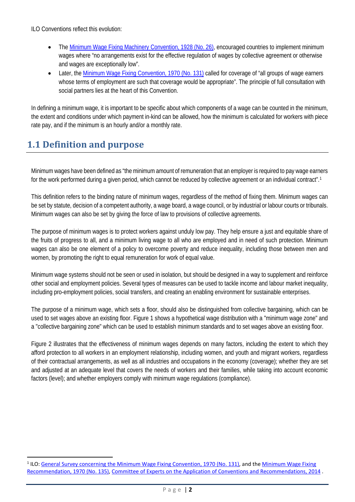ILO Conventions reflect this evolution:

- Th[e Minimum Wage Fixing Machinery Convention, 1928 \(No. 26\),](http://www.ilo.org/dyn/normlex/en/f?p=NORMLEXPUB:12100:0::NO:12100:P12100_INSTRUMENT_ID:312171:NO) encouraged countries to implement minimum wages where "no arrangements exist for the effective regulation of wages by collective agreement or otherwise and wages are exceptionally low".
- Later, the [Minimum Wage Fixing Convention, 1970 \(No. 131\)](http://www.ilo.org/dyn/normlex/en/f?p=NORMLEXPUB:12100:0::NO:12100:P12100_INSTRUMENT_ID:312276:NO) called for coverage of "all groups of wage earners whose terms of employment are such that coverage would be appropriate". The principle of full consultation with social partners lies at the heart of this Convention.

In defining a minimum wage, it is important to be specific about which components of a wage can be counted in the minimum, the extent and conditions under which payment in-kind can be allowed, how the minimum is calculated for workers with piece rate pay, and if the minimum is an hourly and/or a monthly rate.

# **1.1 Definition and purpose**

Minimum wages have been defined as "the minimum amount of remuneration that an employer is required to pay wage earners for the work performed during a given period, which cannot be reduced by collective agreement or an individual contract".[1](#page-1-0)

This definition refers to the binding nature of minimum wages, regardless of the method of fixing them. Minimum wages can be set by statute, decision of a competent authority, a wage board, a wage council, or by industrial or labour courts or tribunals. Minimum wages can also be set by giving the force of law to provisions of collective agreements.

The purpose of minimum wages is to protect workers against unduly low pay. They help ensure a just and equitable share of the fruits of progress to all, and a minimum living wage to all who are employed and in need of such protection. Minimum wages can also be one element of a policy to overcome poverty and reduce inequality, including those between men and women, by promoting the right to equal remuneration for work of equal value.

Minimum wage systems should not be seen or used in isolation, but should be designed in a way to supplement and reinforce other social and employment policies. Several types of measures can be used to tackle income and labour market inequality, including pro-employment policies, social transfers, and creating an enabling environment for sustainable enterprises.

The purpose of a minimum wage, which sets a floor, should also be distinguished from collective bargaining, which can be used to set wages above an existing floor. Figure 1 shows a hypothetical wage distribution with a "minimum wage zone" and a "collective bargaining zone" which can be used to establish minimum standards and to set wages above an existing floor.

Figure 2 illustrates that the effectiveness of minimum wages depends on many factors, including the extent to which they afford protection to all workers in an employment relationship, including women, and youth and migrant workers, regardless of their contractual arrangements, as well as all industries and occupations in the economy (coverage); whether they are set and adjusted at an adequate level that covers the needs of workers and their families, while taking into account economic factors (level); and whether employers comply with minimum wage regulations (compliance).

<span id="page-1-0"></span><sup>&</sup>lt;sup>1</sup> ILO: [General Survey concerning the Minimum Wage Fixing Convention, 1970 \(No. 131\),](http://www.ilo.org/wcmsp5/groups/public/---ed_norm/---relconf/documents/meetingdocument/wcms_235287.pdf) and the Minimum Wage Fixing [Recommendation, 1970 \(No. 135\),](http://www.ilo.org/dyn/normlex/en/f?p=NORMLEXPUB:12100:0::NO:12100:P12100_INSTRUMENT_ID:312473:NO) [Committee of Experts on the Application of Conventions and Recommendations, 2014](http://www.ilo.org/wcmsp5/groups/public/---ed_norm/---relconf/documents/meetingdocument/wcms_246781.pdf) .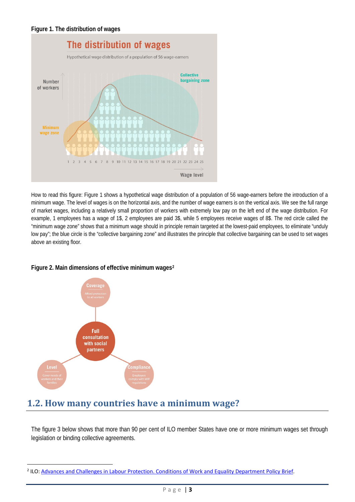

How to read this figure: Figure 1 shows a hypothetical wage distribution of a population of 56 wage-earners before the introduction of a minimum wage. The level of wages is on the horizontal axis, and the number of wage earners is on the vertical axis. We see the full range of market wages, including a relatively small proportion of workers with extremely low pay on the left end of the wage distribution. For example, 1 employees has a wage of 1\$, 2 employees are paid 3\$, while 5 employees receive wages of 8\$. The red circle called the "minimum wage zone" shows that a minimum wage should in principle remain targeted at the lowest-paid employees, to eliminate "unduly low pay"; the blue circle is the "collective bargaining zone" and illustrates the principle that collective bargaining can be used to set wages above an existing floor.

### **Figure 2. Main dimensions of effective minimum wages[2](#page-2-0)**



# **1.2. How many countries have a minimum wage?**

The figure 3 below shows that more than 90 per cent of ILO member States have one or more minimum wages set through legislation or binding collective agreements.

<span id="page-2-0"></span><sup>&</sup>lt;sup>2</sup> ILO: [Advances and Challenges in Labour Protection. Conditions of Work and Equality Department Policy Brief.](http://www.ilo.org/ilc/ILCSessions/104/reports/reports-to-the-conference/WCMS_358295/lang--en/index.htm)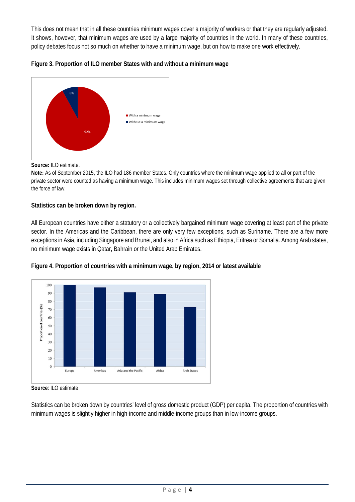This does not mean that in all these countries minimum wages cover a majority of workers or that they are regularly adjusted. It shows, however, that minimum wages are used by a large majority of countries in the world. In many of these countries, policy debates focus not so much on whether to have a minimum wage, but on how to make one work effectively.





**Source:** ILO estimate.

**Note:** As of September 2015, the ILO had 186 member States. Only countries where the minimum wage applied to all or part of the private sector were counted as having a minimum wage. This includes minimum wages set through collective agreements that are given the force of law.

### **Statistics can be broken down by region.**

All European countries have either a statutory or a collectively bargained minimum wage covering at least part of the private sector. In the Americas and the Caribbean, there are only very few exceptions, such as Suriname. There are a few more exceptions in Asia, including Singapore and Brunei, and also in Africa such as Ethiopia, Eritrea or Somalia. Among Arab states, no minimum wage exists in Qatar, Bahrain or the United Arab Emirates.





**Source**: ILO estimate

Statistics can be broken down by countries' level of gross domestic product (GDP) per capita. The proportion of countries with minimum wages is slightly higher in high-income and middle-income groups than in low-income groups.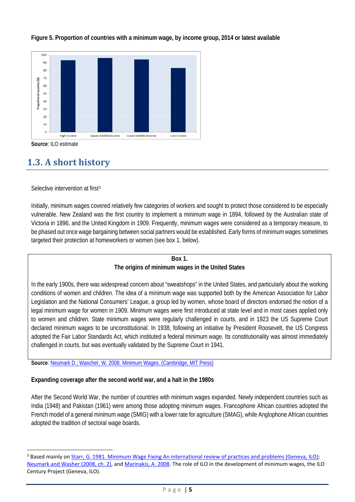

**Figure 5. Proportion of countries with a minimum wage, by income group, 2014 or latest available**

**Source**: ILO estimate

# **1.3. A short history**

Selective intervention at first<sup>[3](#page-4-0)</sup>

Initially, minimum wages covered relatively few categories of workers and sought to protect those considered to be especially vulnerable. New Zealand was the first country to implement a minimum wage in 1894, followed by the Australian state of Victoria in 1896, and the United Kingdom in 1909. Frequently, minimum wages were considered as a temporary measure, to be phased out once wage bargaining between social partners would be established. Early forms of minimum wages sometimes targeted their protection at homeworkers or women (see box 1. below).

### **Box 1.**

### **The origins of minimum wages in the United States**

In the early 1900s, there was widespread concern about "sweatshops" in the United States, and particularly about the working conditions of women and children. The idea of a minimum wage was supported both by the American Association for Labor Legislation and the National Consumers' League, a group led by women, whose board of directors endorsed the notion of a legal minimum wage for women in 1909. Minimum wages were first introduced at state level and in most cases applied only to women and children. State minimum wages were regularly challenged in courts, and in 1923 the US Supreme Court declared minimum wages to be unconstitutional. In 1938, following an initiative by President Roosevelt, the US Congress adopted the Fair Labor Standards Act, which instituted a federal minimum wage. Its constitutionality was almost immediately challenged in courts, but was eventually validated by the Supreme Court in 1941.

**Source**: [Neumark D.; Wascher, W. 2008. Minimum Wages. \(Cambridge, MIT Press\)](https://mitpress.mit.edu/books/minimum-wages) 

### **Expanding coverage after the second world war, and a halt in the 1980s**

After the Second World War, the number of countries with minimum wages expanded. Newly independent countries such as India (1948) and Pakistan (1961) were among those adopting minimum wages. Francophone African countries adopted the French model of a general minimum wage (SMIG) with a lower rate for agriculture (SMAG), while Anglophone African countries adopted the tradition of sectoral wage boards.

<span id="page-4-0"></span><sup>&</sup>lt;sup>3</sup> Based mainly o[n Starr, G. 1981. Minimum Wage Fixing An international review of practices and problems \(Geneva, ILO\);](http://www.ilo.org/public/libdoc/ilo/1981/81B09_266_engl_1993.pdf) [Neumark and Washer \(2008, ch.](https://mitpress.mit.edu/books/minimum-wages) 2), and [Marinakis, A. 2008.](http://www.ilo.org/global/topics/wages/minimum-wages/definition/WCMS_180793/lang--en/index.htm) The role of ILO in the development of minimum wages, the ILO Century Project (Geneva, ILO).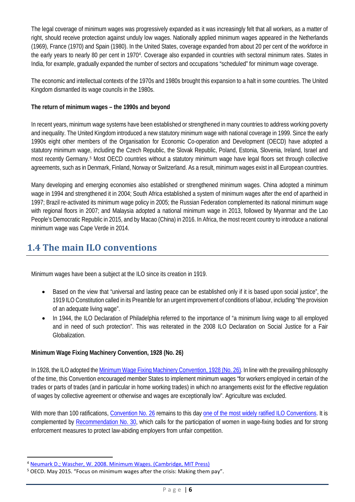The legal coverage of minimum wages was progressively expanded as it was increasingly felt that all workers, as a matter of right, should receive protection against unduly low wages. Nationally applied minimum wages appeared in the Netherlands (1969), France (1970) and Spain (1980). In the United States, coverage expanded from about 20 per cent of the workforce in the early years to nearly 80 per cent in 1970[4](#page-5-0). Coverage also expanded in countries with sectoral minimum rates. States in India, for example, gradually expanded the number of sectors and occupations "scheduled" for minimum wage coverage.

The economic and intellectual contexts of the 1970s and 1980s brought this expansion to a halt in some countries. The United Kingdom dismantled its wage councils in the 1980s.

### **The return of minimum wages – the 1990s and beyond**

In recent years, minimum wage systems have been established or strengthened in many countries to address working poverty and inequality. The United Kingdom introduced a new statutory minimum wage with national coverage in 1999. Since the early 1990s eight other members of the Organisation for Economic Co-operation and Development (OECD) have adopted a statutory minimum wage, including the Czech Republic, the Slovak Republic, Poland, Estonia, Slovenia, Ireland, Israel and most recently Germany[.5](#page-5-1) Most OECD countries without a statutory minimum wage have legal floors set through collective agreements, such as in Denmark, Finland, Norway or Switzerland. As a result, minimum wages exist in all European countries.

Many developing and emerging economies also established or strengthened minimum wages. China adopted a minimum wage in 1994 and strengthened it in 2004; South Africa established a system of minimum wages after the end of apartheid in 1997; Brazil re-activated its minimum wage policy in 2005; the Russian Federation complemented its national minimum wage with regional floors in 2007; and Malaysia adopted a national minimum wage in 2013, followed by Myanmar and the Lao People's Democratic Republic in 2015, and by Macao (China) in 2016. In Africa, the most recent country to introduce a national minimum wage was Cape Verde in 2014.

# **1.4 The main ILO conventions**

Minimum wages have been a subject at the ILO since its creation in 1919.

- Based on the view that "universal and lasting peace can be established only if it is based upon social justice", the 1919 ILO Constitution called in its Preamble for an urgent improvement of conditions of labour, including "the provision of an adequate living wage".
- In 1944, the ILO Declaration of Philadelphia referred to the importance of "a minimum living wage to all employed and in need of such protection". This was reiterated in the 2008 ILO Declaration on Social Justice for a Fair **Globalization**

### **Minimum Wage Fixing Machinery Convention, 1928 (No. 26)**

In 1928, the ILO adopted th[e Minimum Wage Fixing Machinery Convention, 1928 \(No. 26\).](http://www.ilo.org/dyn/normlex/en/f?p=NORMLEXPUB:12100:0::NO:12100:P12100_INSTRUMENT_ID:312171:NO) In line with the prevailing philosophy of the time, this Convention encouraged member States to implement minimum wages "for workers employed in certain of the trades or parts of trades (and in particular in home working trades) in which no arrangements exist for the effective regulation of wages by collective agreement or otherwise and wages are exceptionally low". Agriculture was excluded.

With more than 100 ratifications, [Convention No. 26](http://www.ilo.org/dyn/normlex/en/f?p=NORMLEXPUB:12100:0::NO:12100:P12100_INSTRUMENT_ID:312171:NO) remains to this day [one of the most widely ratified ILO Conventions.](http://www.ilo.org/dyn/normlex/en/f?p=NORMLEXPUB:11300:0::NO:11300:P11300_INSTRUMENT_ID:312171:NO) It is complemented by [Recommendation No. 30,](http://www.ilo.org/dyn/normlex/en/f?p=NORMLEXPUB:12100:0::NO:12100:P12100_INSTRUMENT_ID:312368:NO) which calls for the participation of women in wage-fixing bodies and for strong enforcement measures to protect law-abiding employers from unfair competition.

<span id="page-5-0"></span> <sup>4</sup> [Neumark D.; Wascher, W. 2008. Minimum Wages. \(Cambridge, MIT Press\)](https://mitpress.mit.edu/books/minimum-wages)

<span id="page-5-1"></span><sup>5</sup> OECD. May 2015. "Focus on minimum wages after the crisis: Making them pay".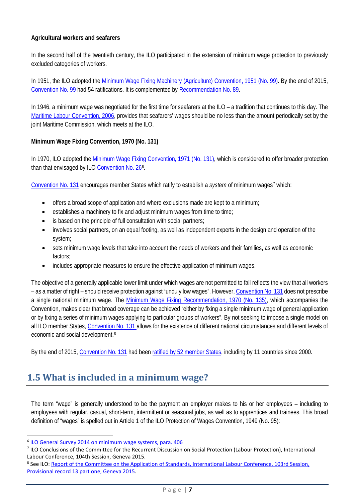### **Agricultural workers and seafarers**

In the second half of the twentieth century, the ILO participated in the extension of minimum wage protection to previously excluded categories of workers.

In 1951, the ILO adopted the [Minimum Wage Fixing Machinery \(Agriculture\) Convention, 1951 \(No. 99\).](http://www.ilo.org/dyn/normlex/en/f?p=NORMLEXPUB:12100:0::NO:12100:P12100_INSTRUMENT_ID:312244:NO) By the end of 2015, [Convention No. 99](http://www.ilo.org/dyn/normlex/en/f?p=NORMLEXPUB:12100:0::NO:12100:P12100_INSTRUMENT_ID:312244:NO) had 54 ratifications. It is complemented b[y Recommendation No. 89.](http://www.ilo.org/dyn/normlex/en/f?p=NORMLEXPUB:12100:0::NO:12100:P12100_INSTRUMENT_ID:312427:NO)

In 1946, a minimum wage was negotiated for the first time for seafarers at the ILO – a tradition that continues to this day. The [Maritime Labour Convention, 2006,](http://www.ilo.org/dyn/normlex/en/f?p=NORMLEXPUB:91:0::NO:91:P91_INSTRUMENT_ID:312331:NO) provides that seafarers' wages should be no less than the amount periodically set by the joint Maritime Commission, which meets at the ILO.

### **Minimum Wage Fixing Convention, 1970 (No. 131)**

In 1970, ILO adopted the [Minimum Wage Fixing Convention, 1971 \(No. 131\),](http://www.ilo.org/dyn/normlex/en/f?p=NORMLEXPUB:12100:0::NO:12100:P12100_INSTRUMENT_ID:312276:NO) which is considered to offer broader protection than that envisaged by ILO [Convention No. 26](http://www.ilo.org/dyn/normlex/en/f?p=NORMLEXPUB:12100:0::NO:12100:P12100_INSTRUMENT_ID:312171:NO)<sup>[6](#page-6-0)</sup>.

[Convention No. 131](http://www.ilo.org/dyn/normlex/en/f?p=NORMLEXPUB:12100:0::NO:12100:P12100_INSTRUMENT_ID:312276:NO) encourages member States which ratify to establish a *system* of minimum wages<sup>[7](#page-6-1)</sup> which:

- offers a broad scope of application and where exclusions made are kept to a minimum;
- establishes a machinery to fix and adjust minimum wages from time to time;
- is based on the principle of full consultation with social partners;
- involves social partners, on an equal footing, as well as independent experts in the design and operation of the system;
- sets minimum wage levels that take into account the needs of workers and their families, as well as economic factors;
- includes appropriate measures to ensure the effective application of minimum wages.

The objective of a generally applicable lower limit under which wages are not permitted to fall reflects the view that all workers – as a matter of right – should receive protection against "unduly low wages". However[, Convention No. 131](http://www.ilo.org/dyn/normlex/en/f?p=NORMLEXPUB:12100:0::NO:12100:P12100_INSTRUMENT_ID:312276:NO) does not prescribe a single national minimum wage. The [Minimum Wage Fixing Recommendation, 1970 \(No. 135\),](http://www.ilo.org/dyn/normlex/en/f?p=NORMLEXPUB:12100:0::NO:12100:P12100_INSTRUMENT_ID:312473:NO) which accompanies the Convention, makes clear that broad coverage can be achieved "either by fixing a single minimum wage of general application or by fixing a series of minimum wages applying to particular groups of workers". By not seeking to impose a single model on all ILO member States, [Convention No. 131 a](http://www.ilo.org/dyn/normlex/en/f?p=NORMLEXPUB:12100:0::NO:12100:P12100_INSTRUMENT_ID:312276:NO)llows for the existence of different national circumstances and different levels of economic and social development.[8](#page-6-2)

By the end of 2015, [Convention No. 131](http://www.ilo.org/dyn/normlex/en/f?p=NORMLEXPUB:12100:0::NO:12100:P12100_INSTRUMENT_ID:312276:NO) had bee[n ratified by 52 member States,](http://www.ilo.org/dyn/normlex/en/f?p=NORMLEXPUB:11300:0::NO:11300:P11300_INSTRUMENT_ID:312276:NO) including by 11 countries since 2000.

# **1.5 What is included in a minimum wage?**

The term "wage" is generally understood to be the payment an employer makes to his or her employees – including to employees with regular, casual, short-term, intermittent or seasonal jobs, as well as to apprentices and trainees. This broad definition of "wages" is spelled out in Article 1 of the ILO Protection of Wages Convention, 1949 (No. 95):

<span id="page-6-0"></span> <sup>6</sup> [ILO General Survey 2014 on minimum wage systems, para. 406](http://www.ilo.org/global/standards/WCMS_235303/lang--en/index.htm)

<span id="page-6-1"></span><sup>&</sup>lt;sup>7</sup> ILO Conclusions of the Committee for the Recurrent Discussion on Social Protection (Labour Protection), International Labour Conference, 104th Session, Geneva 2015.

<span id="page-6-2"></span><sup>8</sup> See ILO: [Report of the Committee on the Application of Standards, International Labour Conference, 103rd Session,](http://www.ilo.org/ilc/ILCSessions/103/reports/WCMS_246781/lang--en/index.htm)  [Provisional record 13 part one, Geneva 2015.](http://www.ilo.org/ilc/ILCSessions/103/reports/WCMS_246781/lang--en/index.htm)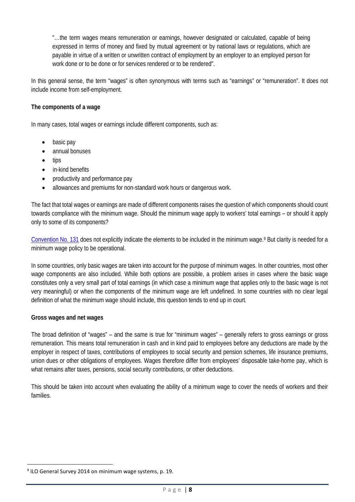"…the term wages means remuneration or earnings, however designated or calculated, capable of being expressed in terms of money and fixed by mutual agreement or by national laws or regulations, which are payable in virtue of a written or unwritten contract of employment by an employer to an employed person for work done or to be done or for services rendered or to be rendered".

In this general sense, the term "wages" is often synonymous with terms such as "earnings" or "remuneration". It does not include income from self-employment.

### **The components of a wage**

In many cases, total wages or earnings include different components, such as:

- basic pay
- annual bonuses
- tips
- in-kind benefits
- productivity and performance pay
- allowances and premiums for non-standard work hours or dangerous work.

The fact that total wages or earnings are made of different components raises the question of which components should count towards compliance with the minimum wage. Should the minimum wage apply to workers' total earnings – or should it apply only to some of its components?

[Convention No. 131](http://www.ilo.org/dyn/normlex/en/f?p=NORMLEXPUB:12100:0::NO:12100:P12100_INSTRUMENT_ID:312276:NO) does not explicitly indicate the elements to be included in the minimum wage.[9](#page-7-0) But clarity is needed for a minimum wage policy to be operational.

In some countries, only basic wages are taken into account for the purpose of minimum wages. In other countries, most other wage components are also included. While both options are possible, a problem arises in cases where the basic wage constitutes only a very small part of total earnings (in which case a minimum wage that applies only to the basic wage is not very meaningful) or when the components of the minimum wage are left undefined. In some countries with no clear legal definition of what the minimum wage should include, this question tends to end up in court.

### **Gross wages and net wages**

The broad definition of "wages" – and the same is true for "minimum wages" – generally refers to gross earnings or gross remuneration. This means total remuneration in cash and in kind paid to employees before any deductions are made by the employer in respect of taxes, contributions of employees to social security and pension schemes, life insurance premiums, union dues or other obligations of employees. Wages therefore differ from employees' disposable take-home pay, which is what remains after taxes, pensions, social security contributions, or other deductions.

This should be taken into account when evaluating the ability of a minimum wage to cover the needs of workers and their families.

<span id="page-7-0"></span><sup>&</sup>lt;sup>9</sup> ILO General Survey 2014 on minimum wage systems, p. 19.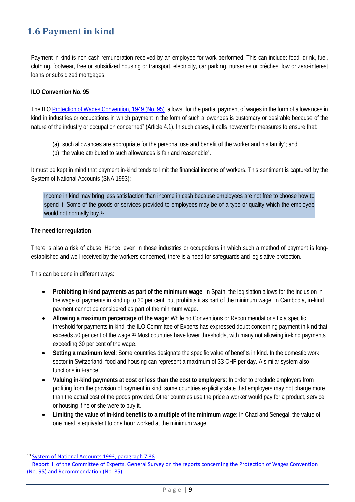# **1.6 Payment in kind**

Payment in kind is non-cash remuneration received by an employee for work performed. This can include: food, drink, fuel, clothing, footwear, free or subsidized housing or transport, electricity, car parking, nurseries or crèches, low or zero-interest loans or subsidized mortgages.

### **ILO Convention No. 95**

The IL[O Protection of Wages Convention, 1949 \(No. 95\)](http://www.ilo.org/dyn/normlex/en/f?p=NORMLEXPUB:12100:0::NO:12100:P12100_INSTRUMENT_ID:312240:NO) allows "for the partial payment of wages in the form of allowances in kind in industries or occupations in which payment in the form of such allowances is customary or desirable because of the nature of the industry or occupation concerned" (Article 4.1). In such cases, it calls however for measures to ensure that:

- (a) "such allowances are appropriate for the personal use and benefit of the worker and his family"; and
- (b) "the value attributed to such allowances is fair and reasonable".

It must be kept in mind that payment in-kind tends to limit the financial income of workers. This sentiment is captured by the System of National Accounts (SNA 1993):

Income in kind may bring less satisfaction than income in cash because employees are not free to choose how to spend it. Some of the goods or services provided to employees may be of a type or quality which the employee would not normally buy.[10](#page-8-0)

### **The need for regulation**

There is also a risk of abuse. Hence, even in those industries or occupations in which such a method of payment is longestablished and well-received by the workers concerned, there is a need for safeguards and legislative protection.

This can be done in different ways:

- **Prohibiting in-kind payments as part of the minimum wage**. In Spain, the legislation allows for the inclusion in the wage of payments in kind up to 30 per cent, but prohibits it as part of the minimum wage. In Cambodia, in-kind payment cannot be considered as part of the minimum wage.
- **Allowing a maximum percentage of the wage**: While no Conventions or Recommendations fix a specific threshold for payments in kind, the ILO Committee of Experts has expressed doubt concerning payment in kind that exceeds 50 per cent of the wage.<sup>[11](#page-8-1)</sup> Most countries have lower thresholds, with many not allowing in-kind payments exceeding 30 per cent of the wage.
- **Setting a maximum level**: Some countries designate the specific value of benefits in kind. In the domestic work sector in Switzerland, food and housing can represent a maximum of 33 CHF per day. A similar system also functions in France.
- **Valuing in-kind payments at cost or less than the cost to employers**: In order to preclude employers from profiting from the provision of payment in kind, some countries explicitly state that employers may not charge more than the actual cost of the goods provided. Other countries use the price a worker would pay for a product, service or housing if he or she were to buy it.
- **Limiting the value of in-kind benefits to a multiple of the minimum wage**: In Chad and Senegal, the value of one meal is equivalent to one hour worked at the minimum wage.

<span id="page-8-0"></span> <sup>10</sup> [System of National Accounts 1993, paragraph 7.38](http://unstats.un.org/unsd/nationalaccount/docs/1993sna.pdf)

<span id="page-8-1"></span><sup>&</sup>lt;sup>11</sup> Report III of the Committee of Experts. General Survey on the reports concerning the Protection of Wages Convention [\(No. 95\) and Recommendation \(No. 85\).](http://www.ilo.org/public/libdoc/ilo/P/09661/09661(2003-91-1B)346.pdf)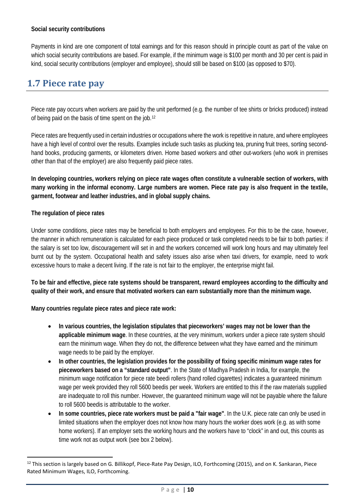### **Social security contributions**

Payments in kind are one component of total earnings and for this reason should in principle count as part of the value on which social security contributions are based. For example, if the minimum wage is \$100 per month and 30 per cent is paid in kind, social security contributions (employer and employee), should still be based on \$100 (as opposed to \$70).

## **1.7 Piece rate pay**

Piece rate pay occurs when workers are paid by the unit performed (e.g. the number of tee shirts or bricks produced) instead of being paid on the basis of time spent on the job.[12](#page-9-0)

Piece rates are frequently used in certain industries or occupations where the work is repetitive in nature, and where employees have a high level of control over the results. Examples include such tasks as plucking tea, pruning fruit trees, sorting secondhand books, producing garments, or kilometers driven. Home based workers and other out-workers (who work in premises other than that of the employer) are also frequently paid piece rates.

**In developing countries, workers relying on piece rate wages often constitute a vulnerable section of workers, with many working in the informal economy. Large numbers are women. Piece rate pay is also frequent in the textile, garment, footwear and leather industries, and in global supply chains.** 

### **The regulation of piece rates**

Under some conditions, piece rates may be beneficial to both employers and employees. For this to be the case, however, the manner in which remuneration is calculated for each piece produced or task completed needs to be fair to both parties: if the salary is set too low, discouragement will set in and the workers concerned will work long hours and may ultimately feel burnt out by the system. Occupational health and safety issues also arise when taxi drivers, for example, need to work excessive hours to make a decent living. If the rate is not fair to the employer, the enterprise might fail.

**To be fair and effective, piece rate systems should be transparent, reward employees according to the difficulty and quality of their work, and ensure that motivated workers can earn substantially more than the minimum wage.**

**Many countries regulate piece rates and piece rate work:**

- **In various countries, the legislation stipulates that pieceworkers' wages may not be lower than the applicable minimum wage**. In these countries, at the very minimum, workers under a piece rate system should earn the minimum wage. When they do not, the difference between what they have earned and the minimum wage needs to be paid by the employer.
- **In other countries, the legislation provides for the possibility of fixing specific minimum wage rates for pieceworkers based on a "standard output"**. In the State of Madhya Pradesh in India, for example, the minimum wage notification for piece rate beedi rollers (hand rolled cigarettes) indicates a guaranteed minimum wage per week provided they roll 5600 beedis per week. Workers are entitled to this if the raw materials supplied are inadequate to roll this number. However, the guaranteed minimum wage will not be payable where the failure to roll 5600 beedis is attributable to the worker.
- **In some countries, piece rate workers must be paid a "fair wage"**. In the U.K. piece rate can only be used in limited situations when the employer does not know how many hours the worker does work (e.g. as with some home workers). If an employer sets the working hours and the workers have to "clock" in and out, this counts as time work not as output work (see box 2 below).

<span id="page-9-0"></span><sup>&</sup>lt;sup>12</sup> This section is largely based on G. Billikopf, Piece-Rate Pay Design, ILO, Forthcoming (2015), and on K. Sankaran, Piece Rated Minimum Wages, ILO, Forthcoming.